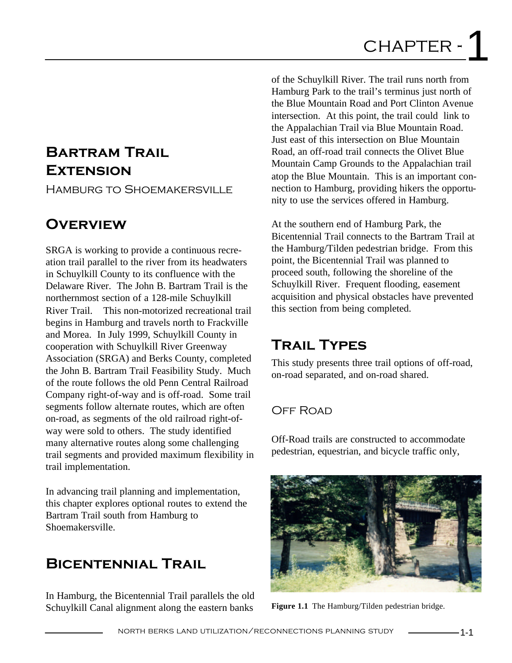# 1 *chapter -*

# **Bartram Trail Extension**

*Hamburg to Shoemakersville*

# **Overview**

SRGA is working to provide a continuous recreation trail parallel to the river from its headwaters in Schuylkill County to its confluence with the Delaware River. The John B. Bartram Trail is the northernmost section of a 128-mile Schuylkill River Trail. This non-motorized recreational trail begins in Hamburg and travels north to Frackville and Morea. In July 1999, Schuylkill County in cooperation with Schuylkill River Greenway Association (SRGA) and Berks County, completed the John B. Bartram Trail Feasibility Study. Much of the route follows the old Penn Central Railroad Company right-of-way and is off-road. Some trail segments follow alternate routes, which are often on-road, as segments of the old railroad right-ofway were sold to others. The study identified many alternative routes along some challenging trail segments and provided maximum flexibility in trail implementation.

In advancing trail planning and implementation, this chapter explores optional routes to extend the Bartram Trail south from Hamburg to Shoemakersville.

## **Bicentennial Trail**

In Hamburg, the Bicentennial Trail parallels the old Schuylkill Canal alignment along the eastern banks

of the Schuylkill River. The trail runs north from Hamburg Park to the trail's terminus just north of the Blue Mountain Road and Port Clinton Avenue intersection. At this point, the trail could link to the Appalachian Trail via Blue Mountain Road. Just east of this intersection on Blue Mountain Road, an off-road trail connects the Olivet Blue Mountain Camp Grounds to the Appalachian trail atop the Blue Mountain. This is an important connection to Hamburg, providing hikers the opportunity to use the services offered in Hamburg.

At the southern end of Hamburg Park, the Bicentennial Trail connects to the Bartram Trail at the Hamburg/Tilden pedestrian bridge. From this point, the Bicentennial Trail was planned to proceed south, following the shoreline of the Schuylkill River. Frequent flooding, easement acquisition and physical obstacles have prevented this section from being completed.

## **Trail Types**

This study presents three trail options of off-road, on-road separated, and on-road shared.

## *Off Road*

Off-Road trails are constructed to accommodate pedestrian, equestrian, and bicycle traffic only,



**Figure 1.1** The Hamburg/Tilden pedestrian bridge.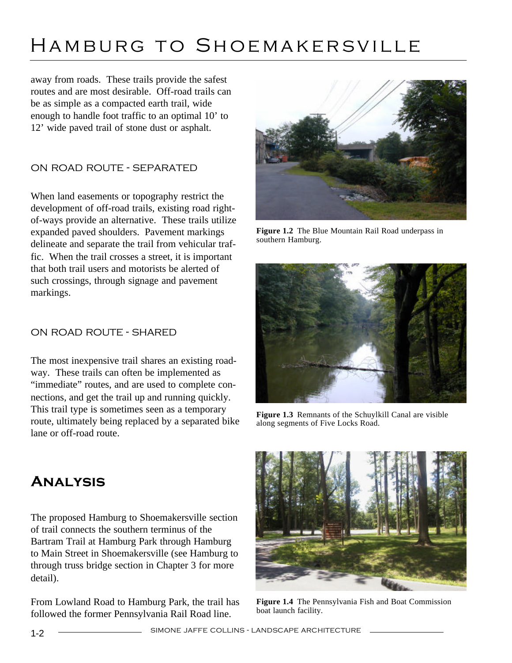away from roads. These trails provide the safest routes and are most desirable. Off-road trails can be as simple as a compacted earth trail, wide enough to handle foot traffic to an optimal 10' to 12' wide paved trail of stone dust or asphalt.

### *on road route - separated*

When land easements or topography restrict the development of off-road trails, existing road rightof-ways provide an alternative. These trails utilize expanded paved shoulders. Pavement markings delineate and separate the trail from vehicular traffic. When the trail crosses a street, it is important that both trail users and motorists be alerted of such crossings, through signage and pavement markings.

### *on road route - shared*

The most inexpensive trail shares an existing roadway. These trails can often be implemented as "immediate" routes, and are used to complete connections, and get the trail up and running quickly. This trail type is sometimes seen as a temporary route, ultimately being replaced by a separated bike lane or off-road route.



**Figure 1.2** The Blue Mountain Rail Road underpass in southern Hamburg.



**Figure 1.3** Remnants of the Schuylkill Canal are visible along segments of Five Locks Road.



**Figure 1.4** The Pennsylvania Fish and Boat Commission boat launch facility.

## **Analysis**

The proposed Hamburg to Shoemakersville section of trail connects the southern terminus of the Bartram Trail at Hamburg Park through Hamburg to Main Street in Shoemakersville (see Hamburg to through truss bridge section in Chapter 3 for more detail).

From Lowland Road to Hamburg Park, the trail has followed the former Pennsylvania Rail Road line.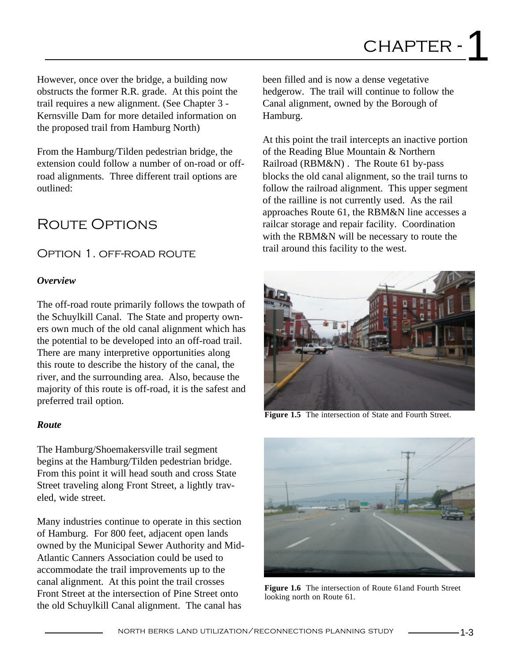However, once over the bridge, a building now obstructs the former R.R. grade. At this point the trail requires a new alignment. (See Chapter 3 - Kernsville Dam for more detailed information on the proposed trail from Hamburg North)

From the Hamburg/Tilden pedestrian bridge, the extension could follow a number of on-road or offroad alignments. Three different trail options are outlined:

# *Route Options*

## *Option 1. off-road route*

### *Overview*

The off-road route primarily follows the towpath of the Schuylkill Canal. The State and property owners own much of the old canal alignment which has the potential to be developed into an off-road trail. There are many interpretive opportunities along this route to describe the history of the canal, the river, and the surrounding area. Also, because the majority of this route is off-road, it is the safest and preferred trail option.

### *Route*

The Hamburg/Shoemakersville trail segment begins at the Hamburg/Tilden pedestrian bridge. From this point it will head south and cross State Street traveling along Front Street, a lightly traveled, wide street.

Many industries continue to operate in this section of Hamburg. For 800 feet, adjacent open lands owned by the Municipal Sewer Authority and Mid-Atlantic Canners Association could be used to accommodate the trail improvements up to the canal alignment. At this point the trail crosses Front Street at the intersection of Pine Street onto the old Schuylkill Canal alignment. The canal has

been filled and is now a dense vegetative hedgerow. The trail will continue to follow the Canal alignment, owned by the Borough of Hamburg.

At this point the trail intercepts an inactive portion of the Reading Blue Mountain & Northern Railroad (RBM&N) . The Route 61 by-pass blocks the old canal alignment, so the trail turns to follow the railroad alignment. This upper segment of the railline is not currently used. As the rail approaches Route 61, the RBM&N line accesses a railcar storage and repair facility. Coordination with the RBM&N will be necessary to route the trail around this facility to the west.



**Figure 1.5** The intersection of State and Fourth Street.



**Figure 1.6** The intersection of Route 61and Fourth Street looking north on Route 61.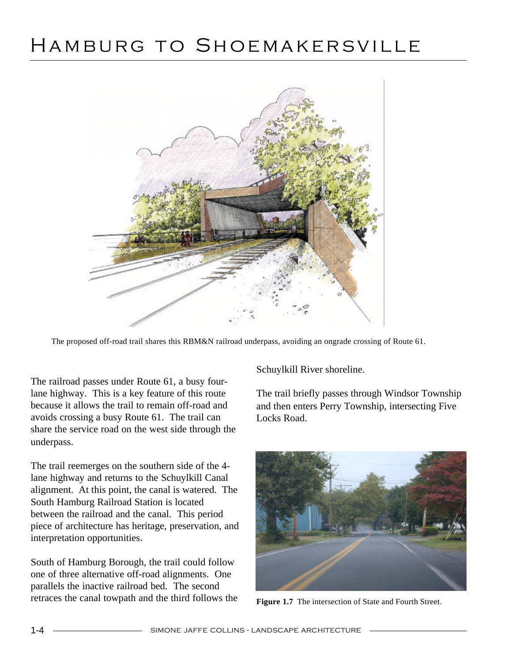

The proposed off-road trail shares this RBM&N railroad underpass, avoiding an ongrade crossing of Route 61.

The railroad passes under Route 61, a busy fourlane highway. This is a key feature of this route because it allows the trail to remain off-road and avoids crossing a busy Route 61. The trail can share the service road on the west side through the underpass.

The trail reemerges on the southern side of the 4 lane highway and returns to the Schuylkill Canal alignment. At this point, the canal is watered. The South Hamburg Railroad Station is located between the railroad and the canal. This period piece of architecture has heritage, preservation, and interpretation opportunities.

South of Hamburg Borough, the trail could follow one of three alternative off-road alignments. One parallels the inactive railroad bed. The second retraces the canal towpath and the third follows the Schuylkill River shoreline.

The trail briefly passes through Windsor Township and then enters Perry Township, intersecting Five Locks Road.



**Figure 1.7** The intersection of State and Fourth Street.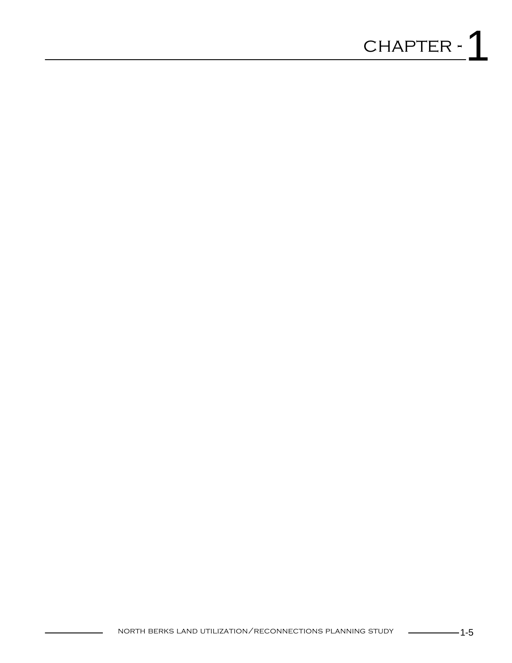

 $\overline{\phantom{a}}$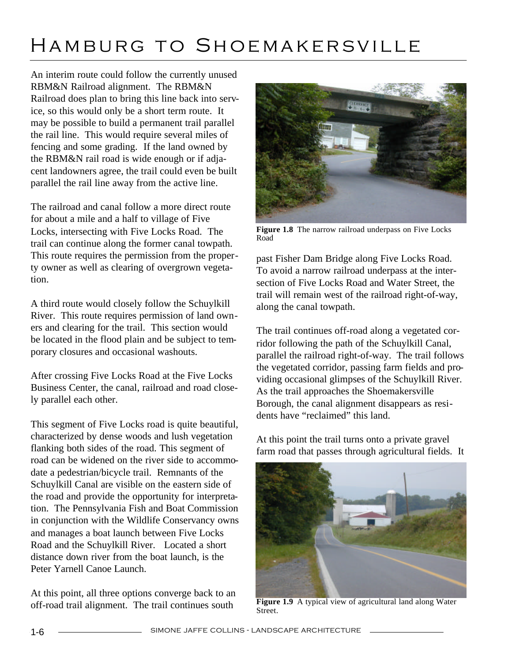An interim route could follow the currently unused RBM&N Railroad alignment. The RBM&N Railroad does plan to bring this line back into service, so this would only be a short term route. It may be possible to build a permanent trail parallel the rail line. This would require several miles of fencing and some grading. If the land owned by the RBM&N rail road is wide enough or if adjacent landowners agree, the trail could even be built parallel the rail line away from the active line.

The railroad and canal follow a more direct route for about a mile and a half to village of Five Locks, intersecting with Five Locks Road. The trail can continue along the former canal towpath. This route requires the permission from the property owner as well as clearing of overgrown vegetation.

A third route would closely follow the Schuylkill River. This route requires permission of land owners and clearing for the trail. This section would be located in the flood plain and be subject to temporary closures and occasional washouts.

After crossing Five Locks Road at the Five Locks Business Center, the canal, railroad and road closely parallel each other.

This segment of Five Locks road is quite beautiful, characterized by dense woods and lush vegetation flanking both sides of the road. This segment of road can be widened on the river side to accommodate a pedestrian/bicycle trail. Remnants of the Schuylkill Canal are visible on the eastern side of the road and provide the opportunity for interpretation. The Pennsylvania Fish and Boat Commission in conjunction with the Wildlife Conservancy owns and manages a boat launch between Five Locks Road and the Schuylkill River. Located a short distance down river from the boat launch, is the Peter Yarnell Canoe Launch.

At this point, all three options converge back to an off-road trail alignment. The trail continues south



**Figure 1.8** The narrow railroad underpass on Five Locks Road

past Fisher Dam Bridge along Five Locks Road. To avoid a narrow railroad underpass at the intersection of Five Locks Road and Water Street, the trail will remain west of the railroad right-of-way, along the canal towpath.

The trail continues off-road along a vegetated corridor following the path of the Schuylkill Canal, parallel the railroad right-of-way. The trail follows the vegetated corridor, passing farm fields and providing occasional glimpses of the Schuylkill River. As the trail approaches the Shoemakersville Borough, the canal alignment disappears as residents have "reclaimed" this land.

At this point the trail turns onto a private gravel farm road that passes through agricultural fields. It



**Figure 1.9** A typical view of agricultural land along Water Street.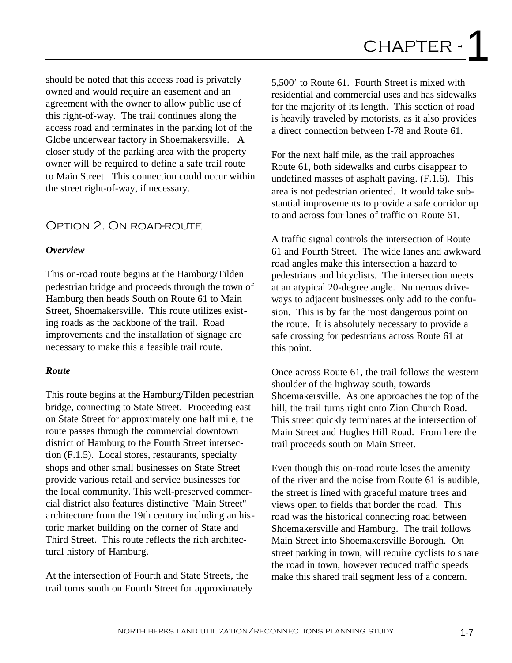should be noted that this access road is privately owned and would require an easement and an agreement with the owner to allow public use of this right-of-way. The trail continues along the access road and terminates in the parking lot of the Globe underwear factory in Shoemakersville. A closer study of the parking area with the property owner will be required to define a safe trail route to Main Street. This connection could occur within the street right-of-way, if necessary.

## *Option 2. On road-route*

#### *Overview*

This on-road route begins at the Hamburg/Tilden pedestrian bridge and proceeds through the town of Hamburg then heads South on Route 61 to Main Street, Shoemakersville. This route utilizes existing roads as the backbone of the trail. Road improvements and the installation of signage are necessary to make this a feasible trail route.

### *Route*

This route begins at the Hamburg/Tilden pedestrian bridge, connecting to State Street. Proceeding east on State Street for approximately one half mile, the route passes through the commercial downtown district of Hamburg to the Fourth Street intersection (F.1.5). Local stores, restaurants, specialty shops and other small businesses on State Street provide various retail and service businesses for the local community. This well-preserved commercial district also features distinctive "Main Street" architecture from the 19th century including an historic market building on the corner of State and Third Street. This route reflects the rich architectural history of Hamburg.

At the intersection of Fourth and State Streets, the trail turns south on Fourth Street for approximately 5,500' to Route 61. Fourth Street is mixed with residential and commercial uses and has sidewalks for the majority of its length. This section of road is heavily traveled by motorists, as it also provides a direct connection between I-78 and Route 61.

For the next half mile, as the trail approaches Route 61, both sidewalks and curbs disappear to undefined masses of asphalt paving. (F.1.6). This area is not pedestrian oriented. It would take substantial improvements to provide a safe corridor up to and across four lanes of traffic on Route 61.

A traffic signal controls the intersection of Route 61 and Fourth Street. The wide lanes and awkward road angles make this intersection a hazard to pedestrians and bicyclists. The intersection meets at an atypical 20-degree angle. Numerous driveways to adjacent businesses only add to the confusion. This is by far the most dangerous point on the route. It is absolutely necessary to provide a safe crossing for pedestrians across Route 61 at this point.

Once across Route 61, the trail follows the western shoulder of the highway south, towards Shoemakersville. As one approaches the top of the hill, the trail turns right onto Zion Church Road. This street quickly terminates at the intersection of Main Street and Hughes Hill Road. From here the trail proceeds south on Main Street.

Even though this on-road route loses the amenity of the river and the noise from Route 61 is audible, the street is lined with graceful mature trees and views open to fields that border the road. This road was the historical connecting road between Shoemakersville and Hamburg. The trail follows Main Street into Shoemakersville Borough. On street parking in town, will require cyclists to share the road in town, however reduced traffic speeds make this shared trail segment less of a concern.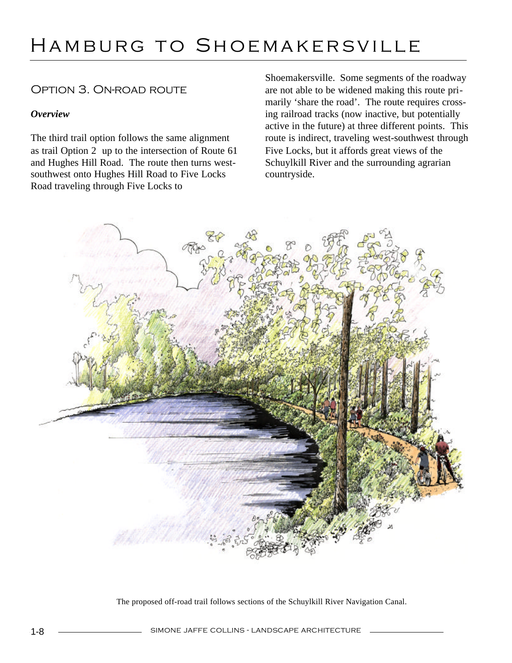### *Option 3. On-road route*

#### *Overview*

The third trail option follows the same alignment as trail Option 2 up to the intersection of Route 61 and Hughes Hill Road. The route then turns westsouthwest onto Hughes Hill Road to Five Locks Road traveling through Five Locks to

Shoemakersville. Some segments of the roadway are not able to be widened making this route primarily 'share the road'. The route requires crossing railroad tracks (now inactive, but potentially active in the future) at three different points. This route is indirect, traveling west-southwest through Five Locks, but it affords great views of the Schuylkill River and the surrounding agrarian countryside.



The proposed off-road trail follows sections of the Schuylkill River Navigation Canal.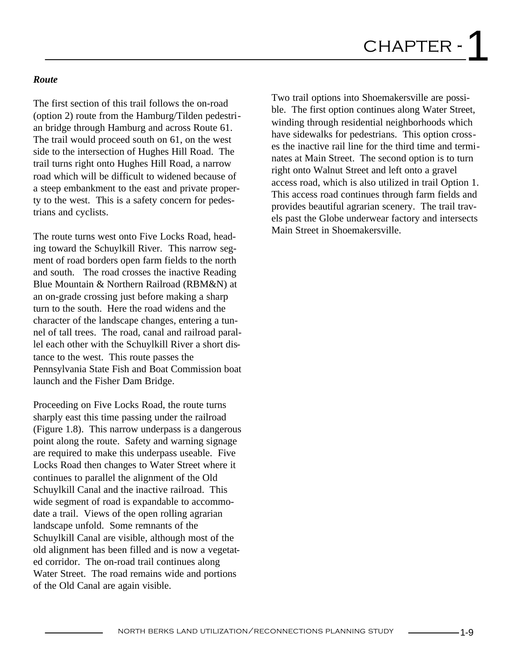

#### *Route*

The first section of this trail follows the on-road (option 2) route from the Hamburg/Tilden pedestrian bridge through Hamburg and across Route 61. The trail would proceed south on 61, on the west side to the intersection of Hughes Hill Road. The trail turns right onto Hughes Hill Road, a narrow road which will be difficult to widened because of a steep embankment to the east and private property to the west. This is a safety concern for pedestrians and cyclists.

The route turns west onto Five Locks Road, heading toward the Schuylkill River. This narrow segment of road borders open farm fields to the north and south. The road crosses the inactive Reading Blue Mountain & Northern Railroad (RBM&N) at an on-grade crossing just before making a sharp turn to the south. Here the road widens and the character of the landscape changes, entering a tunnel of tall trees. The road, canal and railroad parallel each other with the Schuylkill River a short distance to the west. This route passes the Pennsylvania State Fish and Boat Commission boat launch and the Fisher Dam Bridge.

Proceeding on Five Locks Road, the route turns sharply east this time passing under the railroad (Figure 1.8). This narrow underpass is a dangerous point along the route. Safety and warning signage are required to make this underpass useable. Five Locks Road then changes to Water Street where it continues to parallel the alignment of the Old Schuylkill Canal and the inactive railroad. This wide segment of road is expandable to accommodate a trail. Views of the open rolling agrarian landscape unfold. Some remnants of the Schuylkill Canal are visible, although most of the old alignment has been filled and is now a vegetated corridor. The on-road trail continues along Water Street. The road remains wide and portions of the Old Canal are again visible.

Two trail options into Shoemakersville are possible. The first option continues along Water Street, winding through residential neighborhoods which have sidewalks for pedestrians. This option crosses the inactive rail line for the third time and terminates at Main Street. The second option is to turn right onto Walnut Street and left onto a gravel access road, which is also utilized in trail Option 1. This access road continues through farm fields and provides beautiful agrarian scenery. The trail travels past the Globe underwear factory and intersects Main Street in Shoemakersville.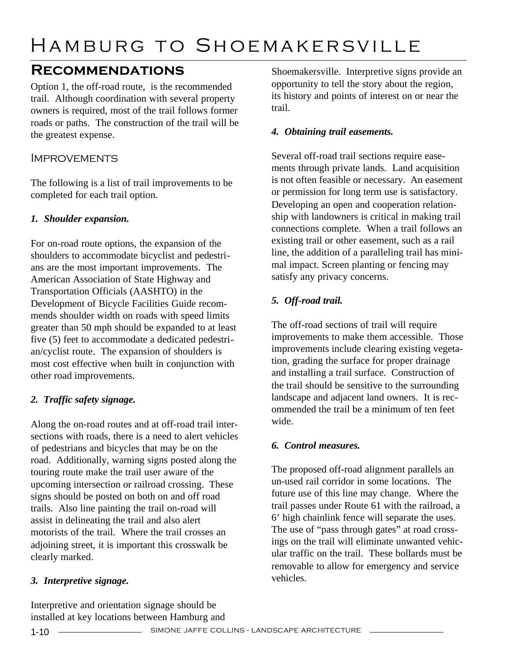## **Recommendations**

Option 1, the off-road route, is the recommended trail. Although coordination with several property owners is required, most of the trail follows former roads or paths. The construction of the trail will be the greatest expense.

## *Improvements*

The following is a list of trail improvements to be completed for each trail option.

### *1. Shoulder expansion.*

For on-road route options, the expansion of the shoulders to accommodate bicyclist and pedestrians are the most important improvements. The American Association of State Highway and Transportation Officials (AASHTO) in the Development of Bicycle Facilities Guide recommends shoulder width on roads with speed limits greater than 50 mph should be expanded to at least five (5) feet to accommodate a dedicated pedestrian/cyclist route. The expansion of shoulders is most cost effective when built in conjunction with other road improvements.

### *2. Traffic safety signage.*

Along the on-road routes and at off-road trail intersections with roads, there is a need to alert vehicles of pedestrians and bicycles that may be on the road. Additionally, warning signs posted along the touring route make the trail user aware of the upcoming intersection or railroad crossing. These signs should be posted on both on and off road trails. Also line painting the trail on-road will assist in delineating the trail and also alert motorists of the trail. Where the trail crosses an adjoining street, it is important this crosswalk be clearly marked.

### *3. Interpretive signage.*

Shoemakersville. Interpretive signs provide an opportunity to tell the story about the region, its history and points of interest on or near the trail.

### *4. Obtaining trail easements.*

Several off-road trail sections require easements through private lands. Land acquisition is not often feasible or necessary. An easement or permission for long term use is satisfactory. Developing an open and cooperation relationship with landowners is critical in making trail connections complete. When a trail follows an existing trail or other easement, such as a rail line, the addition of a paralleling trail has minimal impact. Screen planting or fencing may satisfy any privacy concerns.

### *5. Off-road trail.*

The off-road sections of trail will require improvements to make them accessible. Those improvements include clearing existing vegetation, grading the surface for proper drainage and installing a trail surface. Construction of the trail should be sensitive to the surrounding landscape and adjacent land owners. It is recommended the trail be a minimum of ten feet wide.

### *6. Control measures.*

The proposed off-road alignment parallels an un-used rail corridor in some locations. The future use of this line may change. Where the trail passes under Route 61 with the railroad, a 6' high chainlink fence will separate the uses. The use of "pass through gates" at road crossings on the trail will eliminate unwanted vehicular traffic on the trail. These bollards must be removable to allow for emergency and service vehicles.

Interpretive and orientation signage should be installed at key locations between Hamburg and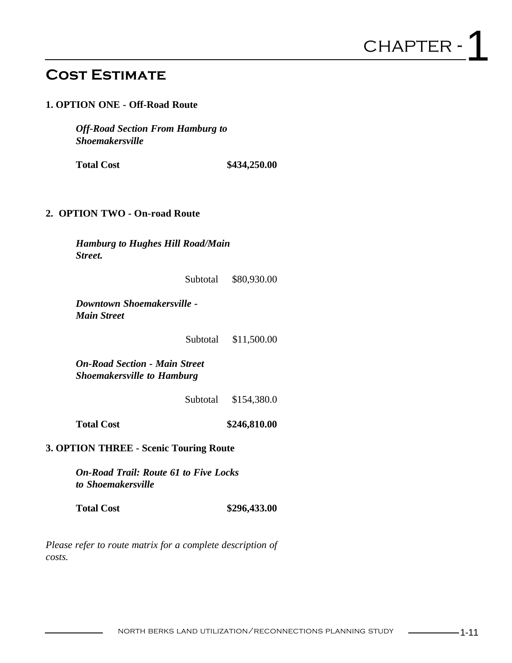

## **Cost Estimate**

#### **1. OPTION ONE - Off-Road Route**

*Off-Road Section From Hamburg to Shoemakersville*

**Total Cost \$434,250.00**

#### **2. OPTION TWO - On-road Route**

*Hamburg to Hughes Hill Road/Main Street.*

Subtotal \$80,930.00

*Downtown Shoemakersville - Main Street*

Subtotal \$11,500.00

*On-Road Section - Main Street Shoemakersville to Hamburg*

Subtotal \$154,380.0

**Total Cost** \$246,810.00

**3. OPTION THREE - Scenic Touring Route**

*On-Road Trail: Route 61 to Five Locks to Shoemakersville*

**Total Cost \$296,433.00**

*Please refer to route matrix for a complete description of costs.*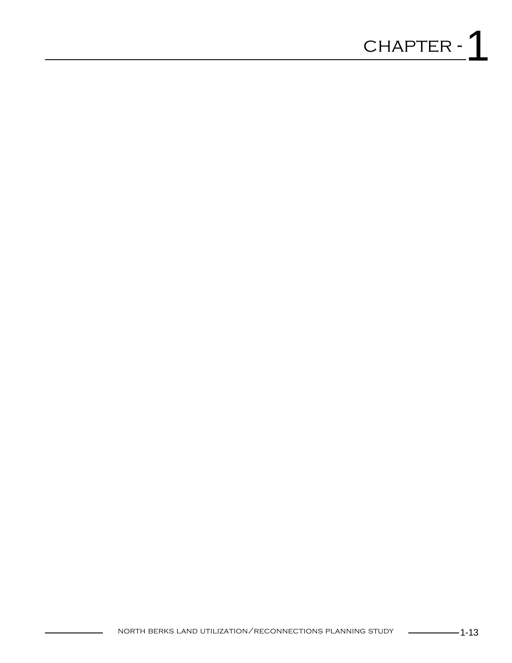

 $\overline{\phantom{a}}$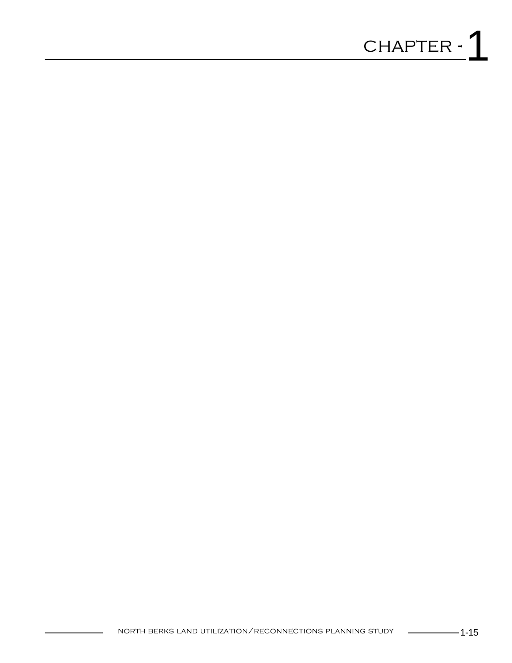

 $\overline{\phantom{a}}$